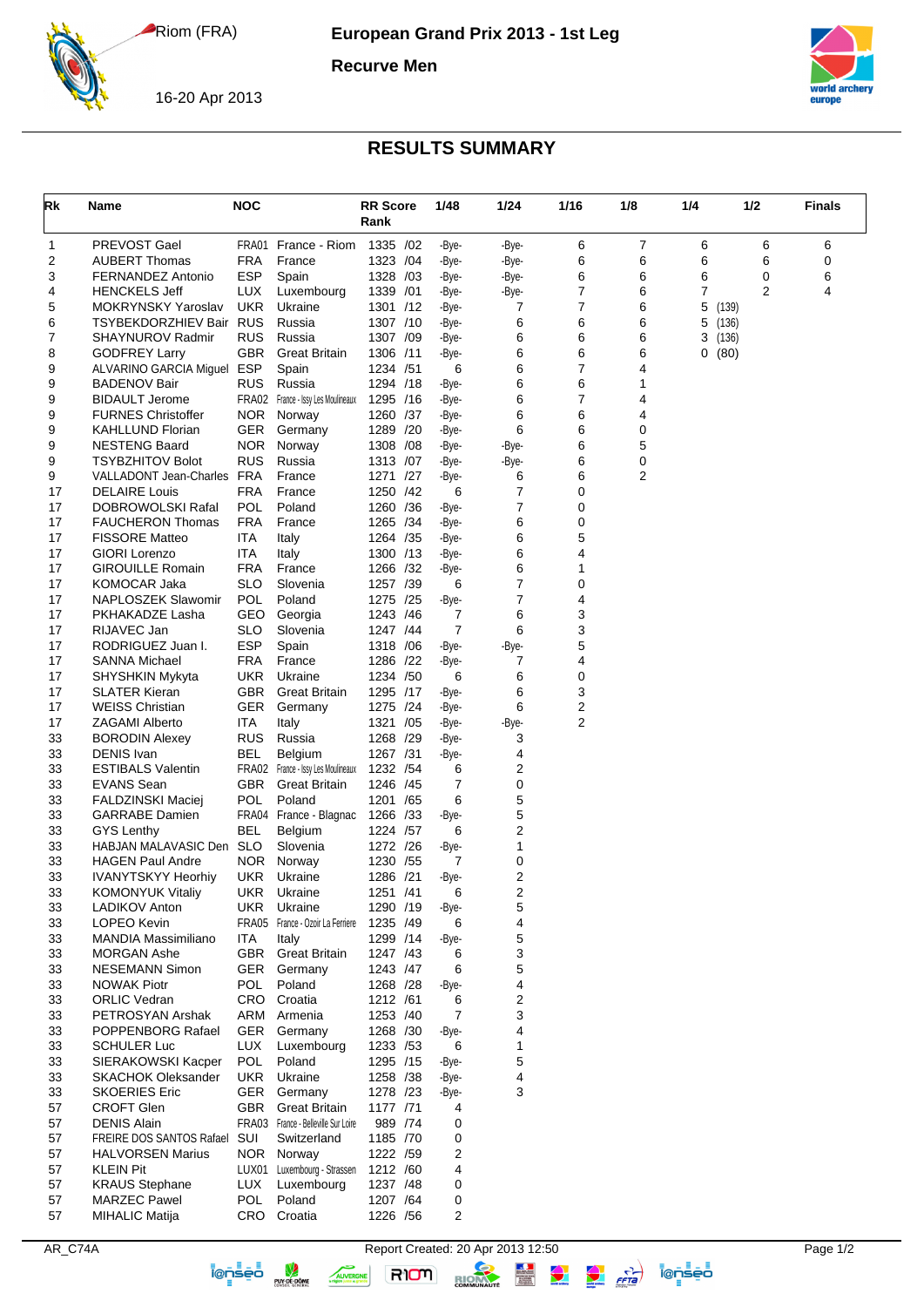Riom (FRA)

**European Grand Prix 2013 - 1st Leg**

**Recurve Men**



16-20 Apr 2013

## **RESULTS SUMMARY**

| Rk       | <b>Name</b>                                              | <b>NOC</b>         |                                     | <b>RR Score</b><br>Rank | 1/48           | 1/24           | 1/16   | 1/8    | 1/4                      | 1/2 | Finals |
|----------|----------------------------------------------------------|--------------------|-------------------------------------|-------------------------|----------------|----------------|--------|--------|--------------------------|-----|--------|
| 1        | PREVOST Gael                                             | FRA01              | France - Riom                       | 1335 /02                | -Bye-          | -Bye-          | 6      | 7      | 6                        | 6   | 6      |
| 2        | <b>AUBERT Thomas</b>                                     | FRA                | France                              | 1323 /04                | -Bye-          | -Bye-          | 6      | 6      | 6                        | 6   | 0      |
| 3        | FERNANDEZ Antonio                                        | <b>ESP</b>         | Spain                               | 1328 /03                | -Bye-          | -Bye-          | 6      | 6      | 6                        | 0   | 6      |
| 4        | <b>HENCKELS Jeff</b>                                     | LUX                | Luxembourg                          | 1339 / 01               | -Bye-          | -Bye-          | 7      | 6      | 7                        | 2   | 4      |
| 5        | <b>MOKRYNSKY Yaroslav</b><br>TSYBEKDORZHIEV Bair RUS     | <b>UKR</b>         | Ukraine                             | 1301 /12                | -Bye-          | 7<br>6         | 7<br>6 | 6      | 5<br>(139)               |     |        |
| 6<br>7   | SHAYNUROV Radmir                                         | <b>RUS</b>         | Russia<br>Russia                    | 1307 /10<br>1307 /09    | -Bye-<br>-Bye- | 6              | 6      | 6<br>6 | 5<br>(136)<br>3<br>(136) |     |        |
| 8        | <b>GODFREY Larry</b>                                     | GBR                | <b>Great Britain</b>                | 1306 /11                | -Bye-          | 6              | 6      | 6      | 0<br>(80)                |     |        |
| 9        | ALVARINO GARCIA Miguel                                   | ESP                | Spain                               | 1234 /51                | 6              | 6              | 7      | 4      |                          |     |        |
| 9        | <b>BADENOV Bair</b>                                      | <b>RUS</b>         | Russia                              | 1294 /18                | -Bye-          | 6              | 6      | 1      |                          |     |        |
| 9        | <b>BIDAULT Jerome</b>                                    | FRA02              | France - Issy Les Moulineaux        | 1295 /16                | -Bye-          | 6              | 7      | 4      |                          |     |        |
| 9        | <b>FURNES Christoffer</b>                                | <b>NOR</b>         | Norway                              | 1260 /37                | -Bye-          | 6              | 6      | 4      |                          |     |        |
| 9        | <b>KAHLLUND Florian</b>                                  | <b>GER</b>         | Germany                             | 1289 /20                | -Bye-          | 6              | 6      | 0      |                          |     |        |
| 9        | <b>NESTENG Baard</b>                                     | NOR.               | Norway                              | 1308 / 08               | -Bye-          | -Bye-          | 6      | 5      |                          |     |        |
| 9<br>9   | <b>TSYBZHITOV Bolot</b><br><b>VALLADONT Jean-Charles</b> | <b>RUS</b><br>FRA  | Russia<br>France                    | 1313 /07<br>1271 /27    | -Bye-          | -Bye-<br>6     | 6<br>6 | 0<br>2 |                          |     |        |
| 17       | <b>DELAIRE</b> Louis                                     | FRA                | France                              | 1250 /42                | -Bye-<br>6     | 7              | 0      |        |                          |     |        |
| 17       | DOBROWOLSKI Rafal                                        | POL                | Poland                              | 1260 /36                | -Bye-          | 7              | 0      |        |                          |     |        |
| 17       | <b>FAUCHERON Thomas</b>                                  | <b>FRA</b>         | France                              | 1265 /34                | -Bye-          | 6              | 0      |        |                          |     |        |
| 17       | <b>FISSORE Matteo</b>                                    | ITA                | Italy                               | 1264 / 35               | -Bye-          | 6              | 5      |        |                          |     |        |
| 17       | <b>GIORI</b> Lorenzo                                     | ITA.               | Italy                               | 1300 /13                | -Bye-          | 6              | 4      |        |                          |     |        |
| 17       | <b>GIROUILLE Romain</b>                                  | FRA                | France                              | 1266 /32                | -Bye-          | 6              | 1      |        |                          |     |        |
| 17       | <b>KOMOCAR Jaka</b>                                      | SLO                | Slovenia                            | 1257 /39                | 6              | 7              | 0      |        |                          |     |        |
| 17       | NAPLOSZEK Slawomir                                       | <b>POL</b>         | Poland                              | 1275 /25                | -Bye-          | 7              | 4      |        |                          |     |        |
| 17       | PKHAKADZE Lasha                                          | GEO                | Georgia                             | 1243 /46                | 7              | 6              | 3      |        |                          |     |        |
| 17       | RIJAVEC Jan                                              | <b>SLO</b>         | Slovenia                            | 1247 /44                | 7              | 6              | 3      |        |                          |     |        |
| 17       | RODRIGUEZ Juan I.                                        | <b>ESP</b>         | Spain                               | 1318 / 06               | -Bye-          | -Bye-          | 5      |        |                          |     |        |
| 17<br>17 | <b>SANNA Michael</b>                                     | FRA<br><b>UKR</b>  | France<br>Ukraine                   | 1286 /22<br>1234 /50    | -Bye-<br>6     | 7<br>6         | 4<br>0 |        |                          |     |        |
| 17       | SHYSHKIN Mykyta<br><b>SLATER Kieran</b>                  | GBR                | <b>Great Britain</b>                | 1295 /17                | -Bye-          | 6              | 3      |        |                          |     |        |
| 17       | <b>WEISS Christian</b>                                   | <b>GER</b>         | Germany                             | 1275 /24                | -Bye-          | 6              | 2      |        |                          |     |        |
| 17       | <b>ZAGAMI Alberto</b>                                    | <b>ITA</b>         | Italy                               | 1321 /05                | -Bye-          | -Bye-          | 2      |        |                          |     |        |
| 33       | <b>BORODIN Alexey</b>                                    | <b>RUS</b>         | Russia                              | 1268 /29                | -Bye-          | 3              |        |        |                          |     |        |
| 33       | <b>DENIS Ivan</b>                                        | BEL                | Belgium                             | 1267 /31                | -Bye-          | 4              |        |        |                          |     |        |
| 33       | <b>ESTIBALS Valentin</b>                                 |                    | FRA02 France - Issy Les Moulineaux  | 1232 / 54               | 6              | 2              |        |        |                          |     |        |
| 33       | <b>EVANS Sean</b>                                        | GBR.               | Great Britain                       | 1246 /45                | 7              | 0              |        |        |                          |     |        |
| 33       | <b>FALDZINSKI Maciej</b>                                 | POL                | Poland                              | 1201 / 65               | 6              | 5              |        |        |                          |     |        |
| 33       | <b>GARRABE</b> Damien                                    |                    | FRA04 France - Blagnac              | 1266 /33                | -Bye-          | 5              |        |        |                          |     |        |
| 33       | <b>GYS Lenthy</b>                                        | BEL                | Belgium                             | 1224 /57                | 6              | 2              |        |        |                          |     |        |
| 33<br>33 | HABJAN MALAVASIC Den<br><b>HAGEN Paul Andre</b>          | <b>SLO</b><br>NOR. | Slovenia<br>Norway                  | 1272 /26<br>1230 / 55   | -Bye-<br>7     | 1<br>0         |        |        |                          |     |        |
| 33       | <b>IVANYTSKYY Heorhiy</b>                                | UKR                | Ukraine                             | 1286 /21                | -Bye-          | $\overline{2}$ |        |        |                          |     |        |
| 33       | <b>KOMONYUK Vitaliy</b>                                  | UKR                | Ukraine                             | 1251 /41                | 6              | 2              |        |        |                          |     |        |
| 33       | LADIKOV Anton                                            | <b>UKR</b>         | Ukraine                             | 1290 /19                | -Bye-          | 5              |        |        |                          |     |        |
| 33       | LOPEO Kevin                                              |                    | FRA05 France - Ozoir La Ferriere    | 1235 /49                | 6              | 4              |        |        |                          |     |        |
| 33       | MANDIA Massimiliano                                      | ITA                | Italy                               | 1299 /14                | -Bye-          | 5              |        |        |                          |     |        |
| 33       | <b>MORGAN Ashe</b>                                       | GBR                | <b>Great Britain</b>                | 1247 /43                | 6              | 3              |        |        |                          |     |        |
| 33       | <b>NESEMANN Simon</b>                                    | GER                | Germany                             | 1243 /47                | 6              | 5              |        |        |                          |     |        |
| 33       | <b>NOWAK Piotr</b>                                       | POL                | Poland                              | 1268 /28                | -Bye-          | 4              |        |        |                          |     |        |
| 33       | <b>ORLIC Vedran</b>                                      | CRO                | Croatia                             | 1212 /61                | 6              | 2              |        |        |                          |     |        |
| 33<br>33 | PETROSYAN Arshak                                         | ARM                | Armenia                             | 1253 /40                | 7              | 3<br>4         |        |        |                          |     |        |
| 33       | POPPENBORG Rafael<br><b>SCHULER Luc</b>                  | GER<br>LUX         | Germany<br>Luxembourg               | 1268 /30<br>1233 /53    | -Bye-<br>6     | 1              |        |        |                          |     |        |
| 33       | SIERAKOWSKI Kacper                                       | POL                | Poland                              | 1295 /15                | -Bye-          | 5              |        |        |                          |     |        |
| 33       | <b>SKACHOK Oleksander</b>                                | <b>UKR</b>         | Ukraine                             | 1258 /38                | -Bye-          | 4              |        |        |                          |     |        |
| 33       | <b>SKOERIES Eric</b>                                     | GER                | Germany                             | 1278 /23                | -Bye-          | 3              |        |        |                          |     |        |
| 57       | <b>CROFT Glen</b>                                        | GBR                | <b>Great Britain</b>                | 1177 /71                | 4              |                |        |        |                          |     |        |
| 57       | <b>DENIS Alain</b>                                       |                    | FRA03 France - Belleville Sur Loire | 989 /74                 | 0              |                |        |        |                          |     |        |
| 57       | FREIRE DOS SANTOS Rafael                                 | SUI                | Switzerland                         | 1185 /70                | 0              |                |        |        |                          |     |        |
| 57       | <b>HALVORSEN Marius</b>                                  |                    | NOR Norway                          | 1222 /59                | 2              |                |        |        |                          |     |        |
| 57       | <b>KLEIN Pit</b>                                         |                    | LUX01 Luxembourg - Strassen         | 1212 /60                | 4              |                |        |        |                          |     |        |
| 57       | <b>KRAUS Stephane</b>                                    | LUX                | Luxembourg                          | 1237 /48                | 0              |                |        |        |                          |     |        |
| 57       | <b>MARZEC Pawel</b>                                      | <b>POL</b>         | Poland                              | 1207 /64                | 0              |                |        |        |                          |     |        |
| 57       | <b>MIHALIC Matija</b>                                    |                    | CRO Croatia                         | 1226 /56                | 2              |                |        |        |                          |     |        |

AR\_C74A Report Created: 20 Apr 2013 12:50 Page 1/2<br>
Report Created: 20 Apr 2013 12:50 Report Created: 20 Apr 2013 12:50 Page 1/2

AUVERGNE